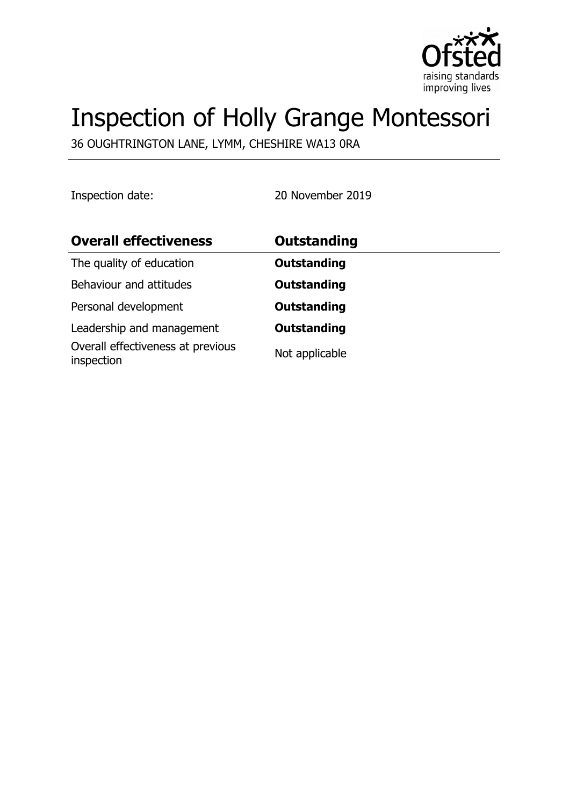

# Inspection of Holly Grange Montessori

36 OUGHTRINGTON LANE, LYMM, CHESHIRE WA13 0RA

Inspection date: 20 November 2019

| <b>Overall effectiveness</b>                    | <b>Outstanding</b> |
|-------------------------------------------------|--------------------|
| The quality of education                        | <b>Outstanding</b> |
| Behaviour and attitudes                         | <b>Outstanding</b> |
| Personal development                            | <b>Outstanding</b> |
| Leadership and management                       | <b>Outstanding</b> |
| Overall effectiveness at previous<br>inspection | Not applicable     |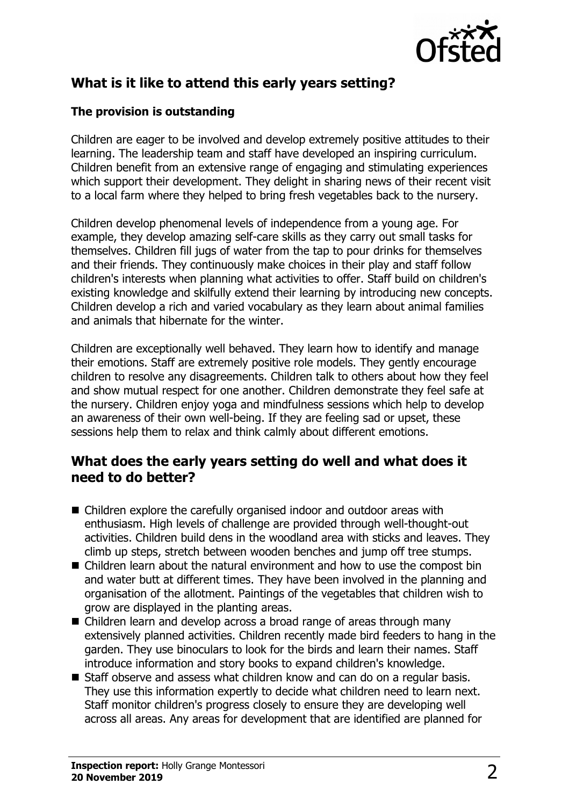

## **What is it like to attend this early years setting?**

#### **The provision is outstanding**

Children are eager to be involved and develop extremely positive attitudes to their learning. The leadership team and staff have developed an inspiring curriculum. Children benefit from an extensive range of engaging and stimulating experiences which support their development. They delight in sharing news of their recent visit to a local farm where they helped to bring fresh vegetables back to the nursery.

Children develop phenomenal levels of independence from a young age. For example, they develop amazing self-care skills as they carry out small tasks for themselves. Children fill jugs of water from the tap to pour drinks for themselves and their friends. They continuously make choices in their play and staff follow children's interests when planning what activities to offer. Staff build on children's existing knowledge and skilfully extend their learning by introducing new concepts. Children develop a rich and varied vocabulary as they learn about animal families and animals that hibernate for the winter.

Children are exceptionally well behaved. They learn how to identify and manage their emotions. Staff are extremely positive role models. They gently encourage children to resolve any disagreements. Children talk to others about how they feel and show mutual respect for one another. Children demonstrate they feel safe at the nursery. Children enjoy yoga and mindfulness sessions which help to develop an awareness of their own well-being. If they are feeling sad or upset, these sessions help them to relax and think calmly about different emotions.

## **What does the early years setting do well and what does it need to do better?**

- $\blacksquare$  Children explore the carefully organised indoor and outdoor areas with enthusiasm. High levels of challenge are provided through well-thought-out activities. Children build dens in the woodland area with sticks and leaves. They climb up steps, stretch between wooden benches and jump off tree stumps.
- $\blacksquare$  Children learn about the natural environment and how to use the compost bin and water butt at different times. They have been involved in the planning and organisation of the allotment. Paintings of the vegetables that children wish to grow are displayed in the planting areas.
- Children learn and develop across a broad range of areas through many extensively planned activities. Children recently made bird feeders to hang in the garden. They use binoculars to look for the birds and learn their names. Staff introduce information and story books to expand children's knowledge.
- Staff observe and assess what children know and can do on a regular basis. They use this information expertly to decide what children need to learn next. Staff monitor children's progress closely to ensure they are developing well across all areas. Any areas for development that are identified are planned for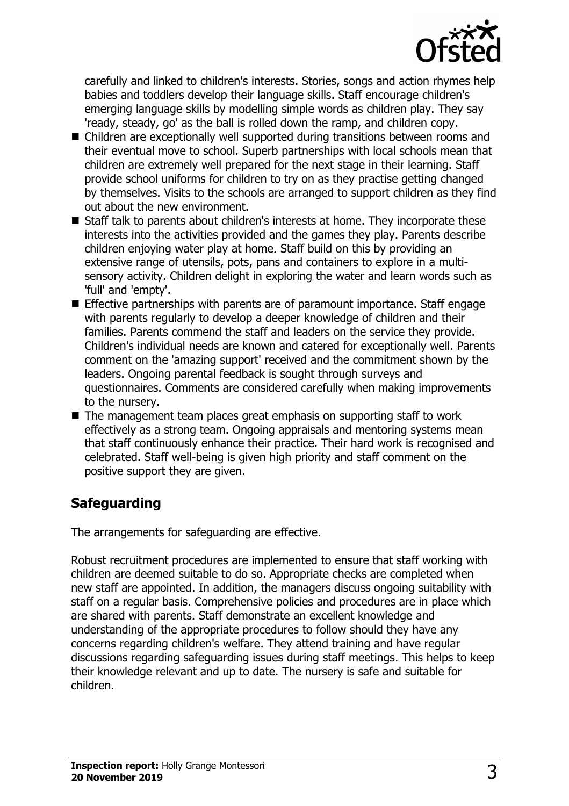

carefully and linked to children's interests. Stories, songs and action rhymes help babies and toddlers develop their language skills. Staff encourage children's emerging language skills by modelling simple words as children play. They say 'ready, steady, go' as the ball is rolled down the ramp, and children copy.

- Children are exceptionally well supported during transitions between rooms and their eventual move to school. Superb partnerships with local schools mean that children are extremely well prepared for the next stage in their learning. Staff provide school uniforms for children to try on as they practise getting changed by themselves. Visits to the schools are arranged to support children as they find out about the new environment.
- Staff talk to parents about children's interests at home. They incorporate these interests into the activities provided and the games they play. Parents describe children enjoying water play at home. Staff build on this by providing an extensive range of utensils, pots, pans and containers to explore in a multisensory activity. Children delight in exploring the water and learn words such as 'full' and 'empty'.
- $\blacksquare$  Effective partnerships with parents are of paramount importance. Staff engage with parents regularly to develop a deeper knowledge of children and their families. Parents commend the staff and leaders on the service they provide. Children's individual needs are known and catered for exceptionally well. Parents comment on the 'amazing support' received and the commitment shown by the leaders. Ongoing parental feedback is sought through surveys and questionnaires. Comments are considered carefully when making improvements to the nursery.
- $\blacksquare$  The management team places great emphasis on supporting staff to work effectively as a strong team. Ongoing appraisals and mentoring systems mean that staff continuously enhance their practice. Their hard work is recognised and celebrated. Staff well-being is given high priority and staff comment on the positive support they are given.

# **Safeguarding**

The arrangements for safeguarding are effective.

Robust recruitment procedures are implemented to ensure that staff working with children are deemed suitable to do so. Appropriate checks are completed when new staff are appointed. In addition, the managers discuss ongoing suitability with staff on a regular basis. Comprehensive policies and procedures are in place which are shared with parents. Staff demonstrate an excellent knowledge and understanding of the appropriate procedures to follow should they have any concerns regarding children's welfare. They attend training and have regular discussions regarding safeguarding issues during staff meetings. This helps to keep their knowledge relevant and up to date. The nursery is safe and suitable for children.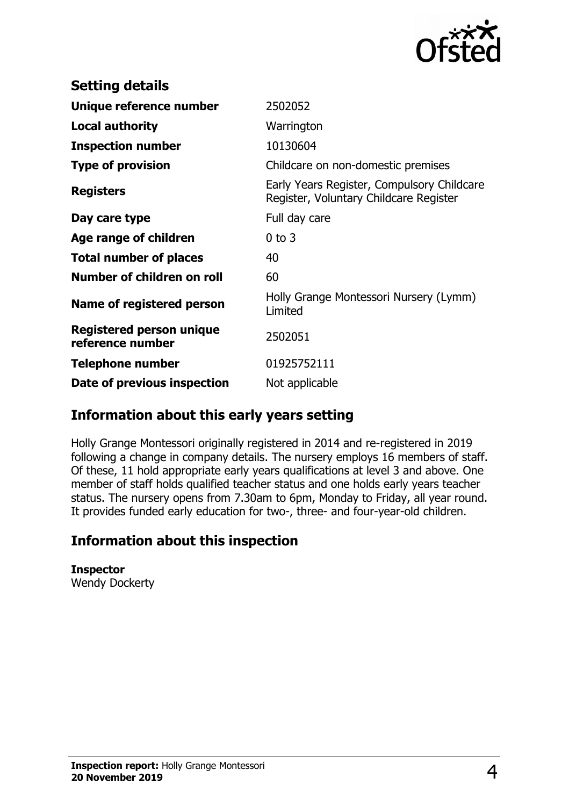

| <b>Setting details</b>                              |                                                                                      |
|-----------------------------------------------------|--------------------------------------------------------------------------------------|
| Unique reference number                             | 2502052                                                                              |
| <b>Local authority</b>                              | Warrington                                                                           |
| <b>Inspection number</b>                            | 10130604                                                                             |
| <b>Type of provision</b>                            | Childcare on non-domestic premises                                                   |
| <b>Registers</b>                                    | Early Years Register, Compulsory Childcare<br>Register, Voluntary Childcare Register |
| Day care type                                       | Full day care                                                                        |
| Age range of children                               | $0$ to $3$                                                                           |
| <b>Total number of places</b>                       | 40                                                                                   |
| Number of children on roll                          | 60                                                                                   |
| Name of registered person                           | Holly Grange Montessori Nursery (Lymm)<br>Limited                                    |
| <b>Registered person unique</b><br>reference number | 2502051                                                                              |
| <b>Telephone number</b>                             | 01925752111                                                                          |
| Date of previous inspection                         | Not applicable                                                                       |

## **Information about this early years setting**

Holly Grange Montessori originally registered in 2014 and re-registered in 2019 following a change in company details. The nursery employs 16 members of staff. Of these, 11 hold appropriate early years qualifications at level 3 and above. One member of staff holds qualified teacher status and one holds early years teacher status. The nursery opens from 7.30am to 6pm, Monday to Friday, all year round. It provides funded early education for two-, three- and four-year-old children.

## **Information about this inspection**

**Inspector** Wendy Dockerty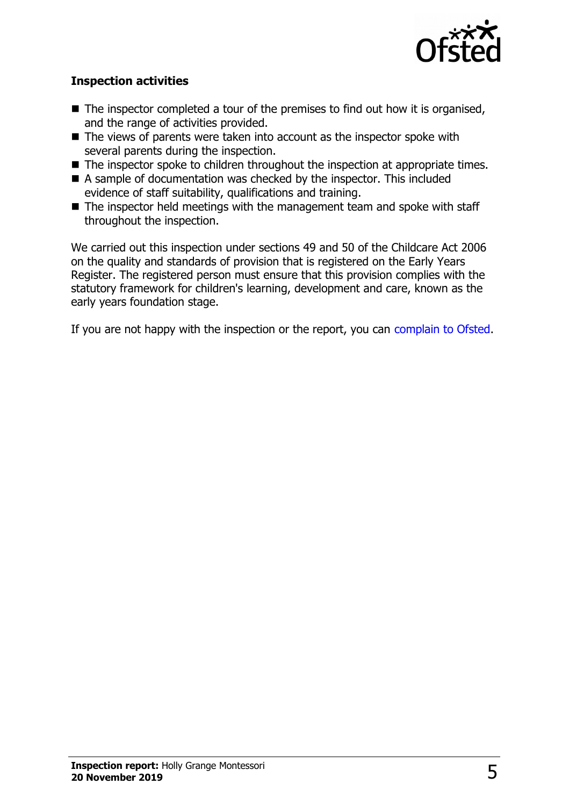

#### **Inspection activities**

- $\blacksquare$  The inspector completed a tour of the premises to find out how it is organised, and the range of activities provided.
- $\blacksquare$  The views of parents were taken into account as the inspector spoke with several parents during the inspection.
- $\blacksquare$  The inspector spoke to children throughout the inspection at appropriate times.
- $\blacksquare$  A sample of documentation was checked by the inspector. This included evidence of staff suitability, qualifications and training.
- $\blacksquare$  The inspector held meetings with the management team and spoke with staff throughout the inspection.

We carried out this inspection under sections 49 and 50 of the Childcare Act 2006 on the quality and standards of provision that is registered on the Early Years Register. The registered person must ensure that this provision complies with the statutory framework for children's learning, development and care, known as the early years foundation stage.

If you are not happy with the inspection or the report, you can [complain to Ofsted.](http://www.gov.uk/complain-ofsted-report)